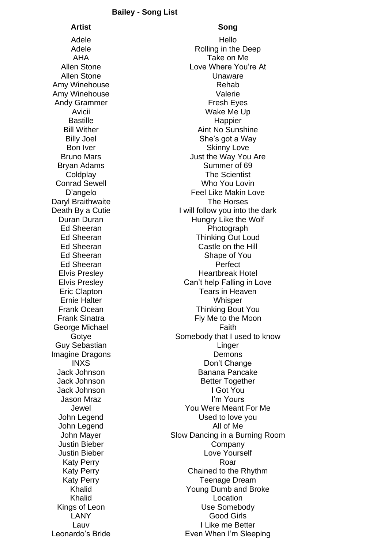## **Bailey - Song List**

## **Artist Song**

Amy Winehouse **Rehab** Amy Winehouse Valerie George Michael **Faith** Faith

Adele Hello Adele **Rolling** in the Deep AHA Take on Me Allen Stone Love Where You're At Allen Stone **Unaware** Andy Grammer Fresh Eyes Avicii **National March 1988** Wake Me Up Bastille **Happier Bill Wither Communist Communist Communist Communist Communist Communist Communist Communist Communist Communist Communist Communist Communist Communist Communist Communist Communist Communist Communist Communist Communist** Billy Joel She's got a Way Bon Iver **Skinny Love** Skinny Love Bruno Mars **Bruno Mars Just the Way You Are** Bryan Adams Summer of 69 Coldplay The Scientist **Conrad Sewell Conrad Sewell** D'angelo Feel Like Makin Love Daryl Braithwaite **The Horses** Death By a Cutie I will follow you into the dark Duran Duran **Hungry Like the Wolf** Ed Sheeran **Photograph** Ed Sheeran Thinking Out Loud Ed Sheeran Castle on the Hill Ed Sheeran Shape of You Ed Sheeran Perfect Elvis Presley **Heartbreak Hotel** Elvis Presley Can't help Falling in Love **Eric Clapton** Tears in Heaven Ernie Halter Whisper Frank Ocean Thinking Bout You Frank Sinatra **Fig. 2018** Fly Me to the Moon Gotye Somebody that I used to know Guy Sebastian **Linger** Current Current Current Current Current Current Current Current Current Current Current Current Current Current Current Current Current Current Current Current Current Current Current Current Current Imagine Dragons **Demons** INXS Don't Change Jack Johnson Banana Pancake Jack Johnson **Better Together** Jack Johnson I Got You Jason Mraz I'm Yours Jewel You Were Meant For Me John Legend **Used** to love you John Legend All of Me John Mayer Slow Dancing in a Burning Room Justin Bieber Company Justin Bieber Love Yourself Katy Perry **Roar** Roar Katy Perry Chained to the Rhythm Katy Perry **Teenage Dream** Khalid Young Dumb and Broke Khalid **Location** Kings of Leon Use Somebody LANY Good Girls Lauv I Like me Better Leonardo's Bride **Even When I'm Sleeping**